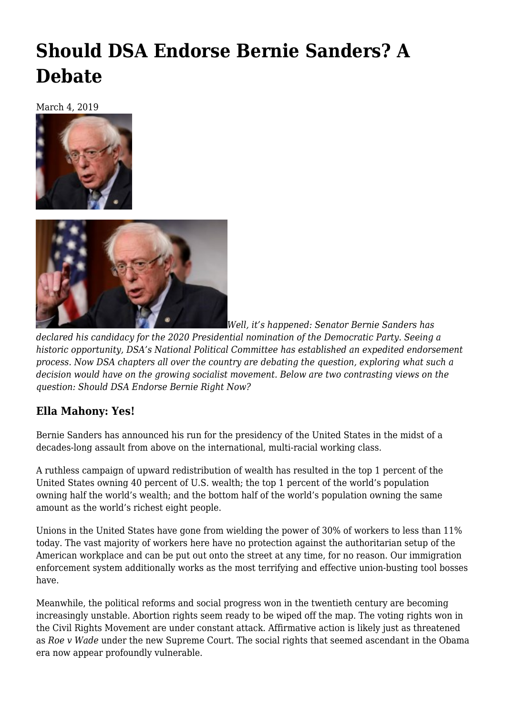## **[Should DSA Endorse Bernie Sanders? A](https://newpol.org/should-dsa-endorse-bernie-sanders-a-debate/) [Debate](https://newpol.org/should-dsa-endorse-bernie-sanders-a-debate/)**

March 4, 2019





*Well, it's happened: Senator Bernie Sanders has*

*declared his candidacy for the 2020 Presidential nomination of the Democratic Party. Seeing a historic opportunity, [DSA'](http://dsausa.org)s National Political Committee has established an expedited endorsement process. Now DSA chapters all over the country are debating the question, exploring what such a decision would have on the growing socialist movement. Below are two contrasting views on the question: Should DSA Endorse Bernie Right Now?*

## **Ella Mahony: Yes!**

Bernie Sanders has announced his run for the presidency of the United States in the midst of a decades-long assault from above on the international, multi-racial working class.

A ruthless campaign of upward redistribution of wealth has resulted in the top 1 percent of the United States [owning](https://www.washingtonpost.com/news/wonk/wp/2017/12/06/the-richest-1-percent-now-owns-more-of-the-countrys-wealth-than-at-any-time-in-the-past-50-years/) 40 percent of U.S. wealth; the top 1 percent of the world's population owning [half the world's wealth;](https://www.theguardian.com/inequality/2017/nov/14/worlds-richest-wealth-credit-suisse) and the bottom half of the world's population owning [the same](https://www.nytimes.com/2017/01/16/world/eight-richest-wealth-oxfam.html) [amount](https://www.nytimes.com/2017/01/16/world/eight-richest-wealth-oxfam.html) as the world's richest eight people.

[Unions in the United States](https://www.bls.gov/news.release/union2.nr0.htm) have gone from wielding the power of 30% of workers to less than 11% today. The vast majority of workers here have no protection against the authoritarian setup of the American workplace and can be put out onto the street at any time, for no reason. Our immigration enforcement system additionally works as the most terrifying and effective union-busting tool bosses have.

Meanwhile, the political reforms and social progress won in the twentieth century are becoming increasingly unstable. [Abortion rights](https://www.vox.com/policy-and-politics/2018/7/10/17551644/brett-kavanaugh-roe-wade-abortion-trump) seem ready to be wiped off the map. The voting rights won in the Civil Rights Movement are under [constant attack.](https://www.nytimes.com/2018/11/03/us/politics/voting-suppression-elections.html) [Affirmative action](https://theintercept.com/2018/10/08/brett-kavanaugh-affirmative-action-at-universities/) is likely just as threatened as *Roe v Wade* under the new Supreme Court. The social rights that seemed ascendant in the Obama era now appear profoundly vulnerable.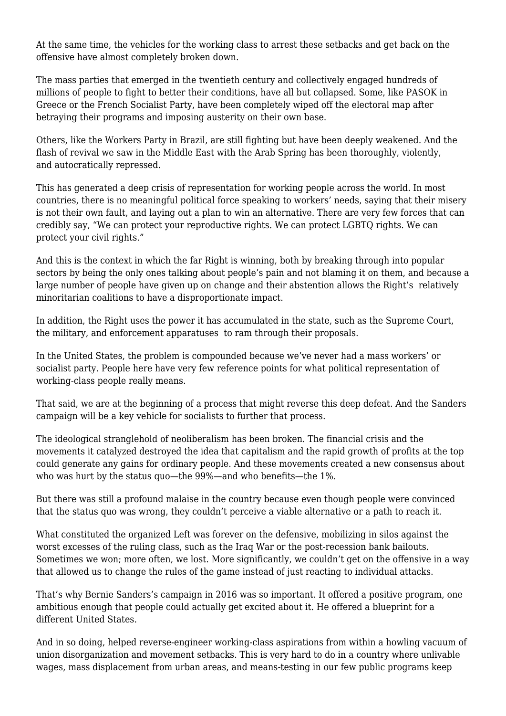At the same time, the vehicles for the working class to arrest these setbacks and get back on the offensive have almost completely broken down.

The mass parties that emerged in the twentieth century and collectively engaged hundreds of millions of people to fight to better their conditions, have all but collapsed. Some, like PASOK in Greece or the French Socialist Party, have been completely wiped off the electoral map after betraying their programs and imposing austerity on their own base.

Others, like the Workers Party in Brazil, are still fighting but have been deeply weakened. And the flash of revival we saw in the Middle East with the Arab Spring has been thoroughly, violently, and [autocratically repressed](https://www.jacobinmag.com/2019/01/arab-spring-authoritarianism-rosa-luxemburg).

This has generated a deep crisis of representation for working people across the world. In most countries, there is no meaningful political force speaking to workers' needs, saying that their misery is not their own fault, and laying out a plan to win an alternative. There are very few forces that can credibly say, "We can protect your reproductive rights. We can protect LGBTQ rights. We can protect your civil rights."

And this is the context in which the far Right is winning, both by breaking through into popular sectors by being the only ones talking about people's pain and not blaming it on them, and because a large number of people have given up on change and their abstention allows the Right's relatively minoritarian coalitions to have a disproportionate impact.

In addition, the Right uses the power it has accumulated in the state, such as the Supreme Court, the military, and enforcement apparatuses to ram through their proposals.

In the United States, the problem is compounded because we've never had a mass workers' or socialist party. People here have very few reference points for what political representation of working-class people really means.

That said, we are at the beginning of a process that might reverse this deep defeat. And the Sanders campaign will be a key vehicle for socialists to further that process.

The ideological stranglehold of neoliberalism has been broken. The financial crisis and the movements it catalyzed destroyed the idea that capitalism and the rapid growth of profits at the top could generate any gains for ordinary people. And these movements created a new consensus about who was hurt by the status quo—the 99%—and who benefits—the 1%.

But there was still a profound malaise in the country because even though people were convinced that the status quo was wrong, they couldn't perceive a viable alternative or a path to reach it.

What constituted the organized Left was forever on the defensive, mobilizing in silos against the worst excesses of the ruling class, such as the Iraq War or the post-recession bank bailouts. Sometimes we won; more often, we lost. More significantly, we couldn't get on the offensive in a way that allowed us to change the rules of the game instead of just reacting to individual attacks.

That's why Bernie Sanders's campaign in 2016 was so important. It offered a positive program, one ambitious enough that people could actually get excited about it. He offered a blueprint for a different United States.

And in so doing, helped reverse-engineer working-class aspirations from within a howling vacuum of union disorganization and movement setbacks. This is very hard to do in a country where unlivable wages, mass displacement from urban areas, and means-testing in our few public programs keep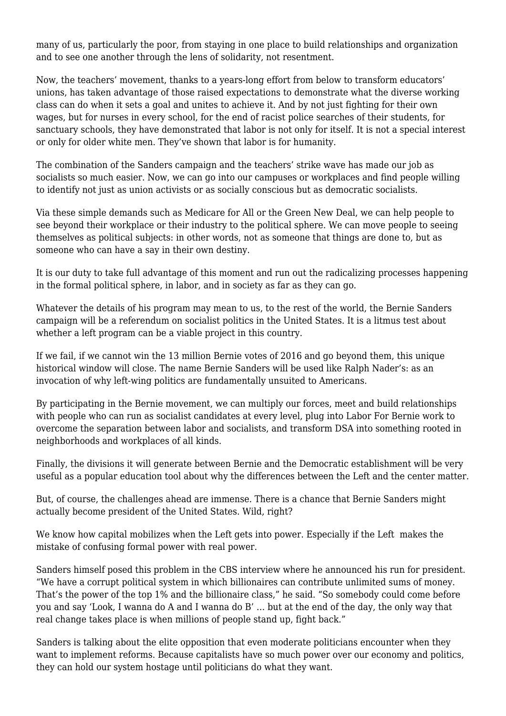many of us, particularly the poor, from staying in one place to build relationships and organization and to see one another through the lens of solidarity, not resentment.

Now, the teachers' movement, thanks to a years-long effort from below to transform educators' unions, has taken advantage of those raised expectations to demonstrate what the diverse working class can do when it sets a goal and unites to achieve it. And by not just fighting for their own wages, but for nurses in every school, for the end of racist police searches of their students, for sanctuary schools, they have demonstrated that labor is not only for itself. It is not a special interest or only for older white men. They've shown that labor is for humanity.

The combination of the Sanders campaign and the teachers' strike wave has made our job as socialists so much easier. Now, we can go into our campuses or workplaces and find people willing to identify not just as union activists or as socially conscious but as democratic socialists.

Via these simple demands such as Medicare for All or the Green New Deal, we can help people to see beyond their workplace or their industry to the political sphere. We can move people to seeing themselves as political subjects: in other words, not as someone that things are done to, but as someone who can have a say in their own destiny.

It is our duty to take full advantage of this moment and run out the radicalizing processes happening in the formal political sphere, in labor, and in society as far as they can go.

Whatever the details of his program may mean to us, to the rest of the world, the Bernie Sanders campaign will be a referendum on socialist politics in the United States. It is a litmus test about whether a left program can be a viable project in this country.

If we fail, if we cannot win the 13 million Bernie votes of 2016 and go beyond them, this unique historical window will close. The name Bernie Sanders will be used like Ralph Nader's: as an invocation of why left-wing politics are fundamentally unsuited to Americans.

By participating in the Bernie movement, we can multiply our forces, meet and build relationships with people who can run as socialist candidates at every level, plug into Labor For Bernie work to overcome the separation between labor and socialists, and transform DSA into something rooted in neighborhoods and workplaces of all kinds.

Finally, the divisions it will generate between Bernie and the Democratic establishment will be very useful as a popular education tool about why the differences between the Left and the center matter.

But, of course, the challenges ahead are immense. There is a chance that Bernie Sanders [might](https://socialistforum.dsausa.org/issues/fall-2018/political-revolution-in-the-twenty-first-century/) [actually become president of the United States](https://socialistforum.dsausa.org/issues/fall-2018/political-revolution-in-the-twenty-first-century/). Wild, right?

We know how capital mobilizes when the Left gets into power. Especially if the Left makes the mistake of confusing formal power with real power.

Sanders himself posed this problem in the CBS interview where he announced his run for president. "We have a corrupt political system in which billionaires can contribute unlimited sums of money. That's the power of the top 1% and the billionaire class," he said. "So somebody could come before you and say 'Look, I wanna do A and I wanna do B' … but at the end of the day, the only way that real change takes place is when millions of people stand up, fight back."

Sanders is talking about the elite opposition that even moderate politicians encounter when they want to implement reforms. Because capitalists have so much power over our economy and politics, they can hold our system hostage until politicians do what they want.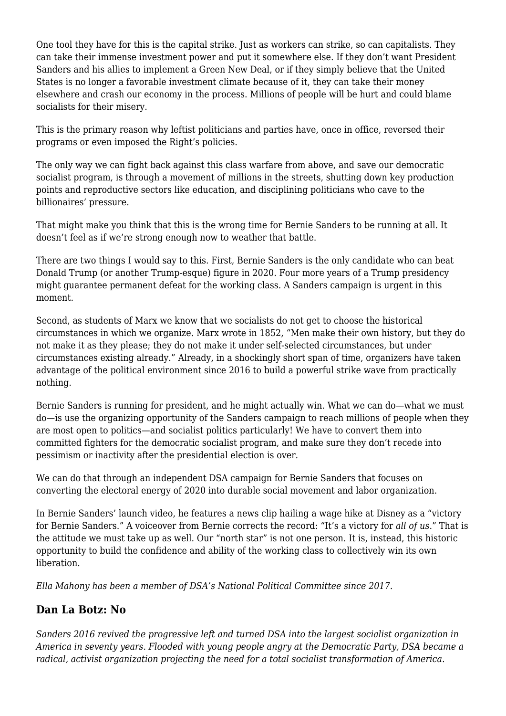One tool they have for this is the capital strike. Just as workers can strike, so can capitalists. They can take their immense investment power and put it somewhere else. If they don't want President Sanders and his allies to implement a Green New Deal, or if they simply believe that the United States is no longer a favorable investment climate because of it, they can take their money elsewhere and crash our economy in the process. Millions of people will be hurt and could blame socialists for their misery.

This is the primary reason why leftist politicians and parties have, once in office, reversed their programs or even imposed the Right's policies.

The only way we can fight back against this class warfare from above, and save our democratic socialist program, is through a movement of millions in the streets, shutting down key production points and reproductive sectors like education, and disciplining politicians who cave to the billionaires' pressure.

That might make you think that this is the wrong time for Bernie Sanders to be running at all. It doesn't feel as if we're strong enough now to weather that battle.

There are two things I would say to this. First, Bernie Sanders is the only candidate who can beat Donald Trump (or another Trump-esque) figure in 2020. Four more years of a Trump presidency might guarantee permanent defeat for the working class. A Sanders campaign is urgent in this moment.

Second, as students of Marx we know that we socialists do not get to choose the historical circumstances in which we organize. Marx wrote in 1852, "Men make their own history, but they do not make it as they please; they do not make it under self-selected circumstances, but under circumstances existing already." Already, in a shockingly short span of time, organizers have taken advantage of the political environment since 2016 to build a powerful strike wave from practically nothing.

Bernie Sanders is running for president, and he might actually win. What we can do—what we must do—is use the organizing opportunity of the Sanders campaign to reach millions of people when they are most open to politics—and socialist politics particularly! We have to convert them into committed fighters for the democratic socialist program, and make sure they don't recede into pessimism or inactivity after the presidential election is over.

We can do that through an independent DSA campaign for Bernie Sanders that focuses on converting the electoral energy of 2020 into durable social movement and labor organization.

In Bernie Sanders' [launch video](https://www.youtube.com/watch?v=ZgJagAiHimk), he features a news clip hailing a wage hike at Disney as a "victory for Bernie Sanders." A voiceover from Bernie corrects the record: "It's a victory for *all of us*." That is the attitude we must take up as well. Our "north star" is not one person. It is, instead, this historic opportunity to build the confidence and ability of the working class to collectively win its own liberation.

*Ella Mahony has been a member of DSA's National Political Committee since 2017.*

## **Dan La Botz: No**

*Sanders 2016 revived the progressive left and turned DSA into the largest socialist organization in America in seventy years. Flooded with young people angry at the Democratic Party, DSA became a radical, activist organization projecting the need for a total socialist transformation of America.*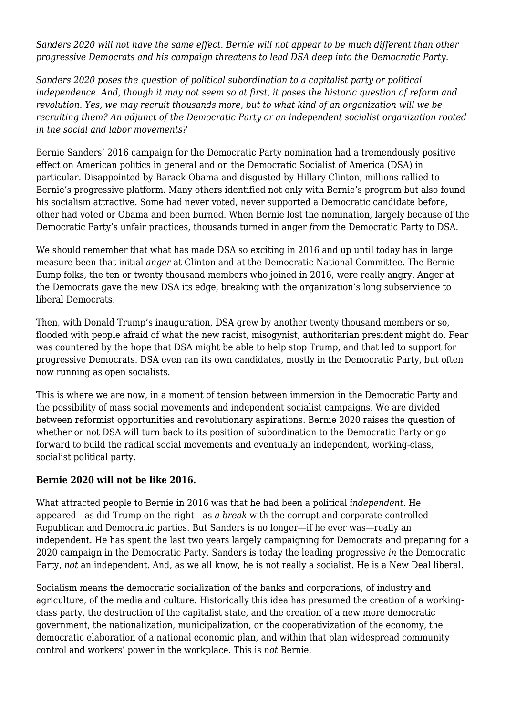*Sanders 2020 will not have the same effect. Bernie will not appear to be much different than other progressive Democrats and his campaign threatens to lead DSA deep into the Democratic Party.*

*Sanders 2020 poses the question of political subordination to a capitalist party or political independence. And, though it may not seem so at first, it poses the historic question of reform and revolution. Yes, we may recruit thousands more, but to what kind of an organization will we be recruiting them? An adjunct of the Democratic Party or an independent socialist organization rooted in the social and labor movements?*

Bernie Sanders' 2016 campaign for the Democratic Party nomination had a tremendously positive effect on American politics in general and on the Democratic Socialist of America (DSA) in particular. Disappointed by Barack Obama and disgusted by Hillary Clinton, millions rallied to Bernie's progressive platform. Many others identified not only with Bernie's program but also found his socialism attractive. Some had never voted, never supported a Democratic candidate before, other had voted or Obama and been burned. When Bernie lost the nomination, largely because of the Democratic Party's unfair practices, thousands turned in anger *from* the Democratic Party to DSA.

We should remember that what has made DSA so exciting in 2016 and up until today has in large measure been that initial *anger* at Clinton and at the Democratic National Committee. The Bernie Bump folks, the ten or twenty thousand members who joined in 2016, were really angry. Anger at the Democrats gave the new DSA its edge, breaking with the organization's long subservience to liberal Democrats.

Then, with Donald Trump's inauguration, DSA grew by another twenty thousand members or so, flooded with people afraid of what the new racist, misogynist, authoritarian president might do. Fear was countered by the hope that DSA might be able to help stop Trump, and that led to support for progressive Democrats. DSA even ran its own candidates, mostly in the Democratic Party, but often now running as open socialists.

[This is where we are now,](https://newpol.org/dsa-two-years-later-where-are-we-where-are-we-headed/) in a moment of tension between immersion in the Democratic Party and the possibility of mass social movements and independent socialist campaigns. We are divided between reformist opportunities and revolutionary aspirations. Bernie 2020 raises the question of whether or not DSA will turn back to its position of subordination to the Democratic Party or go forward to build the radical social movements and eventually an independent, working-class, socialist political party.

## **Bernie 2020 will not be like 2016.**

What attracted people to Bernie in 2016 was that he had been a political *independent.* He appeared—as did Trump on the right—as *a break* with the corrupt and corporate-controlled Republican and Democratic parties. But Sanders is no longer—if he ever was—really an independent. He has spent the last two years largely campaigning for Democrats and preparing for a 2020 campaign in the Democratic Party. Sanders is today the leading progressive *in* the Democratic Party, *not* an independent. And, as we all know, he is not really a socialist. He is a New Deal liberal.

Socialism means the democratic socialization of the banks and corporations, of industry and agriculture, of the media and culture. Historically this idea has presumed the creation of a workingclass party, the destruction of the capitalist state, and the creation of a new more democratic government, the nationalization, municipalization, or the cooperativization of the economy, the democratic elaboration of a national economic plan, and within that plan widespread community control and workers' power in the workplace. This is *not* Bernie.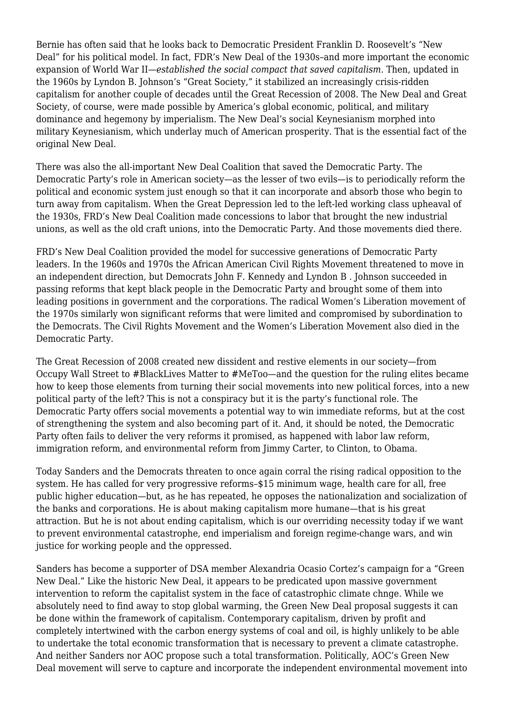Bernie has often said that he looks back to Democratic President Franklin D. [Roosevelt's "New](https://socialistforum.dsausa.org/issues/fall-2018/the-new-deal-is-not-enough/) [Deal"](https://socialistforum.dsausa.org/issues/fall-2018/the-new-deal-is-not-enough/) for his political model. In fact, FDR's New Deal of the 1930s–and more important the economic expansion of World War II—*established the social compact that saved capitalism.* Then, updated in the 1960s by Lyndon B. Johnson's "Great Society," it stabilized an increasingly crisis-ridden capitalism for another couple of decades until the Great Recession of 2008. The New Deal and Great Society, of course, were made possible by America's global economic, political, and military dominance and hegemony by imperialism. The New Deal's social Keynesianism morphed into military Keynesianism, which underlay much of American prosperity. That is the essential fact of the original New Deal.

There was also the all-important New Deal Coalition that saved the Democratic Party. The Democratic Party's role in American society—as the lesser of two evils—is to periodically reform the political and economic system just enough so that it can incorporate and absorb those who begin to turn away from capitalism. When the Great Depression led to the left-led working class upheaval of the 1930s, FRD's New Deal Coalition made concessions to labor that brought the new industrial unions, as well as the old craft unions, into the Democratic Party. And those movements died there.

FRD's New Deal Coalition provided the model for successive generations of Democratic Party leaders. In the 1960s and 1970s the African American Civil Rights Movement threatened to move in an independent direction, but Democrats John F. Kennedy and Lyndon B . Johnson succeeded in passing reforms that kept black people in the Democratic Party and brought some of them into leading positions in government and the corporations. The radical Women's Liberation movement of the 1970s similarly won significant reforms that were limited and compromised by subordination to the Democrats. The Civil Rights Movement and the Women's Liberation Movement also died in the Democratic Party.

The Great Recession of 2008 created new dissident and restive elements in our society—from Occupy Wall Street to #BlackLives Matter to #MeToo—and the question for the ruling elites became how to keep those elements from turning their social movements into new political forces, into a new political party of the left? This is not a conspiracy but it is the party's functional role. The Democratic Party offers social movements a potential way to win immediate reforms, but at the cost of strengthening the system and also becoming part of it. And, it should be noted, the Democratic Party often fails to deliver the very reforms it promised, as happened with labor law reform, immigration reform, and environmental reform from Jimmy Carter, to Clinton, to Obama.

Today Sanders and the Democrats threaten to once again corral the rising radical opposition to the system. He has called for very progressive reforms–\$15 minimum wage, health care for all, free public higher education—but, as he has repeated, he opposes the nationalization and socialization of the banks and corporations. He is about making capitalism more humane—that is his great attraction. But he is not about ending capitalism, which is our overriding necessity today if we want to prevent environmental catastrophe, end imperialism and foreign regime-change wars, and win justice for working people and the oppressed.

Sanders has become a supporter of DSA member Alexandria Ocasio Cortez's campaign for a "Green New Deal." Like the historic New Deal, it appears to be predicated upon massive government intervention to reform the capitalist system in the face of catastrophic climate chnge. While we absolutely need to find away to stop global warming, the Green New Deal proposal suggests it can be done within the framework of capitalism. Contemporary capitalism, driven by profit and completely intertwined with the carbon energy systems of coal and oil, is highly unlikely to be able to undertake the total economic transformation that is necessary to prevent a climate catastrophe. And neither Sanders nor AOC propose such a total transformation. Politically, AOC's Green New Deal movement will serve to capture and incorporate the independent environmental movement into